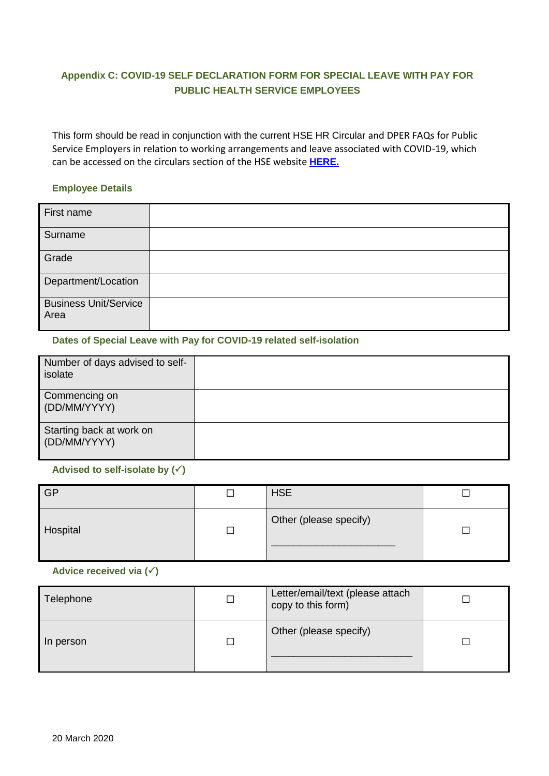# **Appendix C: COVID-19 SELF DECLARATION FORM FOR SPECIAL LEAVE WITH PAY FOR PUBLIC HEALTH SERVICE EMPLOYEES**

This form should be read in conjunction with the current HSE HR Circular and DPER FAQs for Public Service Employers in relation to working arrangements and leave associated with COVID-19, which can be accessed on the circulars section of the HSE website **[HERE.](https://www.hse.ie/eng/staff/resources/hr-circulars/hr-circulars-2020.html)**

## **Employee Details**

| First name                           |  |
|--------------------------------------|--|
| Surname                              |  |
| Grade                                |  |
| Department/Location                  |  |
| <b>Business Unit/Service</b><br>Area |  |

### **Dates of Special Leave with Pay for COVID-19 related self-isolation**

| Number of days advised to self-<br>isolate |  |
|--------------------------------------------|--|
| Commencing on<br>(DD/MM/YYYY)              |  |
| Starting back at work on<br>(DD/MM/YYYY)   |  |

### **Advised to self-isolate by ()**

| <b>GP</b> | <b>HSE</b>             |  |
|-----------|------------------------|--|
| Hospital  | Other (please specify) |  |

### **Advice received via ()**

| Telephone | $\mathcal{L}_{\mathcal{A}}$ | Letter/email/text (please attach<br>copy to this form) |  |
|-----------|-----------------------------|--------------------------------------------------------|--|
| In person | Г                           | Other (please specify)                                 |  |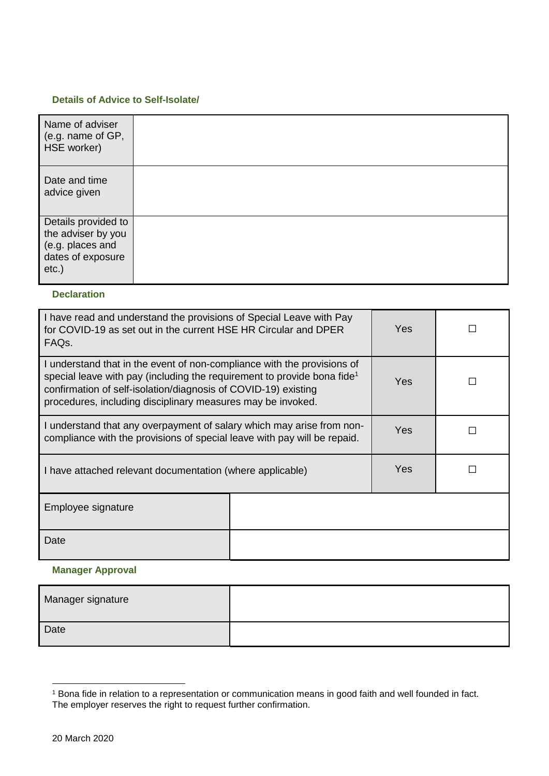#### **Details of Advice to Self-Isolate/**

| Name of adviser<br>(e.g. name of GP,<br>HSE worker)                                            |  |
|------------------------------------------------------------------------------------------------|--|
| Date and time<br>advice given                                                                  |  |
| Details provided to<br>the adviser by you<br>(e.g. places and<br>dates of exposure<br>$etc.$ ) |  |

## **Declaration**

| I have read and understand the provisions of Special Leave with Pay<br>for COVID-19 as set out in the current HSE HR Circular and DPER<br>FAQ <sub>s</sub> .                                                                                                                                    |  | Yes        |  |
|-------------------------------------------------------------------------------------------------------------------------------------------------------------------------------------------------------------------------------------------------------------------------------------------------|--|------------|--|
| I understand that in the event of non-compliance with the provisions of<br>special leave with pay (including the requirement to provide bona fide <sup>1</sup><br>confirmation of self-isolation/diagnosis of COVID-19) existing<br>procedures, including disciplinary measures may be invoked. |  | Yes.       |  |
| I understand that any overpayment of salary which may arise from non-<br>compliance with the provisions of special leave with pay will be repaid.                                                                                                                                               |  | Yes        |  |
| I have attached relevant documentation (where applicable)                                                                                                                                                                                                                                       |  | <b>Yes</b> |  |
| Employee signature                                                                                                                                                                                                                                                                              |  |            |  |
| Date                                                                                                                                                                                                                                                                                            |  |            |  |

## **Manager Approval**

| Manager signature |  |
|-------------------|--|
| Date              |  |

<u>.</u>

<sup>1</sup> Bona fide in relation to a representation or communication means in good faith and well founded in fact. The employer reserves the right to request further confirmation.